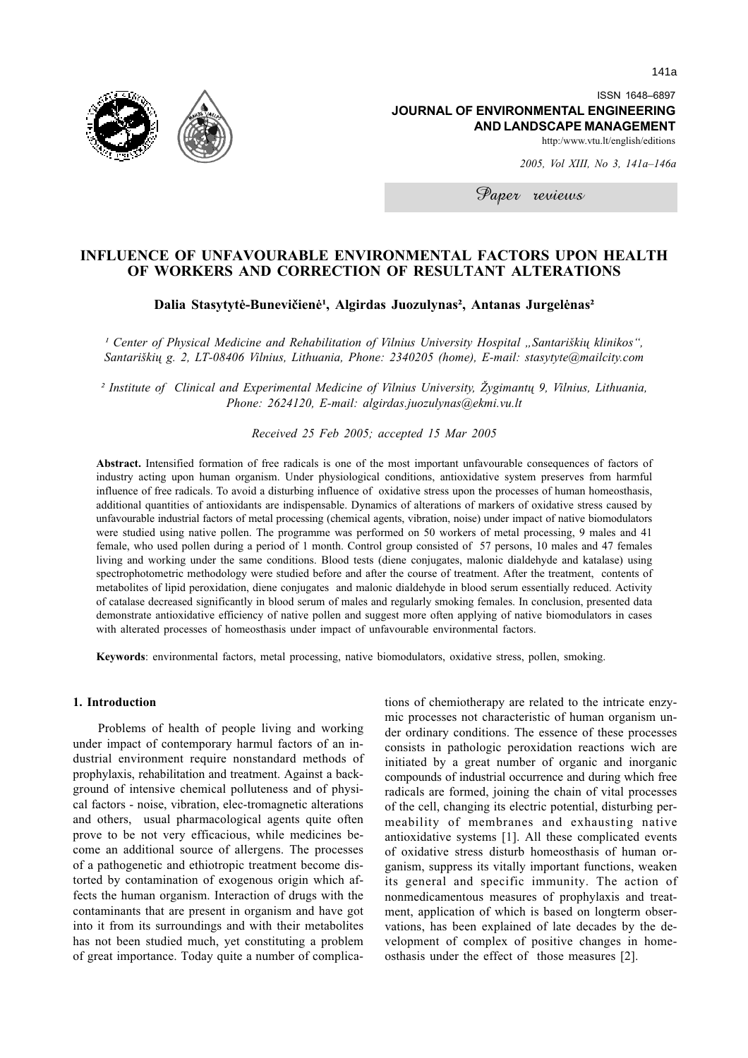ISSN 1648-6897 JOURNAL OF ENVIRONMENTAL ENGINEERING AND LANDSCAPE MANAGEMENT http:/www.vtu.lt/english/editions

2005. Vol XIII. No 3. 141a-146a

Paper reviews

# **INFLUENCE OF UNFAVOURABLE ENVIRONMENTAL FACTORS UPON HEALTH** OF WORKERS AND CORRECTION OF RESULTANT ALTERATIONS

Dalia Stasytytė-Bunevičienė<sup>1</sup>, Algirdas Juozulynas<sup>2</sup>, Antanas Jurgelėnas<sup>2</sup>

<sup>1</sup> Center of Physical Medicine and Rehabilitation of Vilnius University Hospital "Santariškių klinikos", Santariškių g. 2, LT-08406 Vilnius, Lithuania, Phone: 2340205 (home), E-mail: stasytyte@mailcity.com

<sup>2</sup> Institute of Clinical and Experimental Medicine of Vilnius University, Žygimantų 9, Vilnius, Lithuania, Phone: 2624120, E-mail: algirdas.juozulynas@ekmi.vu.lt

Received 25 Feb 2005; accepted 15 Mar 2005

Abstract. Intensified formation of free radicals is one of the most important unfavourable consequences of factors of industry acting upon human organism. Under physiological conditions, antioxidative system preserves from harmful influence of free radicals. To avoid a disturbing influence of oxidative stress upon the processes of human homeosthasis, additional quantities of antioxidants are indispensable. Dynamics of alterations of markers of oxidative stress caused by unfavourable industrial factors of metal processing (chemical agents, vibration, noise) under impact of native biomodulators were studied using native pollen. The programme was performed on 50 workers of metal processing, 9 males and 41 female, who used pollen during a period of 1 month. Control group consisted of 57 persons, 10 males and 47 females living and working under the same conditions. Blood tests (diene conjugates, malonic dialdehyde and katalase) using spectrophotometric methodology were studied before and after the course of treatment. After the treatment, contents of metabolites of lipid peroxidation, diene conjugates and malonic dialdehyde in blood serum essentially reduced. Activity of catalase decreased significantly in blood serum of males and regularly smoking females. In conclusion, presented data demonstrate antioxidative efficiency of native pollen and suggest more often applying of native biomodulators in cases with alterated processes of homeosthasis under impact of unfavourable environmental factors.

Keywords: environmental factors, metal processing, native biomodulators, oxidative stress, pollen, smoking.

### 1. Introduction

Problems of health of people living and working under impact of contemporary harmul factors of an industrial environment require nonstandard methods of prophylaxis, rehabilitation and treatment. Against a background of intensive chemical polluteness and of physical factors - noise, vibration, elec-tromagnetic alterations and others, usual pharmacological agents quite often prove to be not very efficacious, while medicines become an additional source of allergens. The processes of a pathogenetic and ethiotropic treatment become distorted by contamination of exogenous origin which affects the human organism. Interaction of drugs with the contaminants that are present in organism and have got into it from its surroundings and with their metabolites has not been studied much, yet constituting a problem of great importance. Today quite a number of complications of chemiotherapy are related to the intricate enzymic processes not characteristic of human organism under ordinary conditions. The essence of these processes consists in pathologic peroxidation reactions wich are initiated by a great number of organic and inorganic compounds of industrial occurrence and during which free radicals are formed, joining the chain of vital processes of the cell, changing its electric potential, disturbing permeability of membranes and exhausting native antioxidative systems [1]. All these complicated events of oxidative stress disturb homeosthasis of human organism, suppress its vitally important functions, weaken its general and specific immunity. The action of nonmedicamentous measures of prophylaxis and treatment, application of which is based on longterm observations, has been explained of late decades by the development of complex of positive changes in homeosthasis under the effect of those measures [2].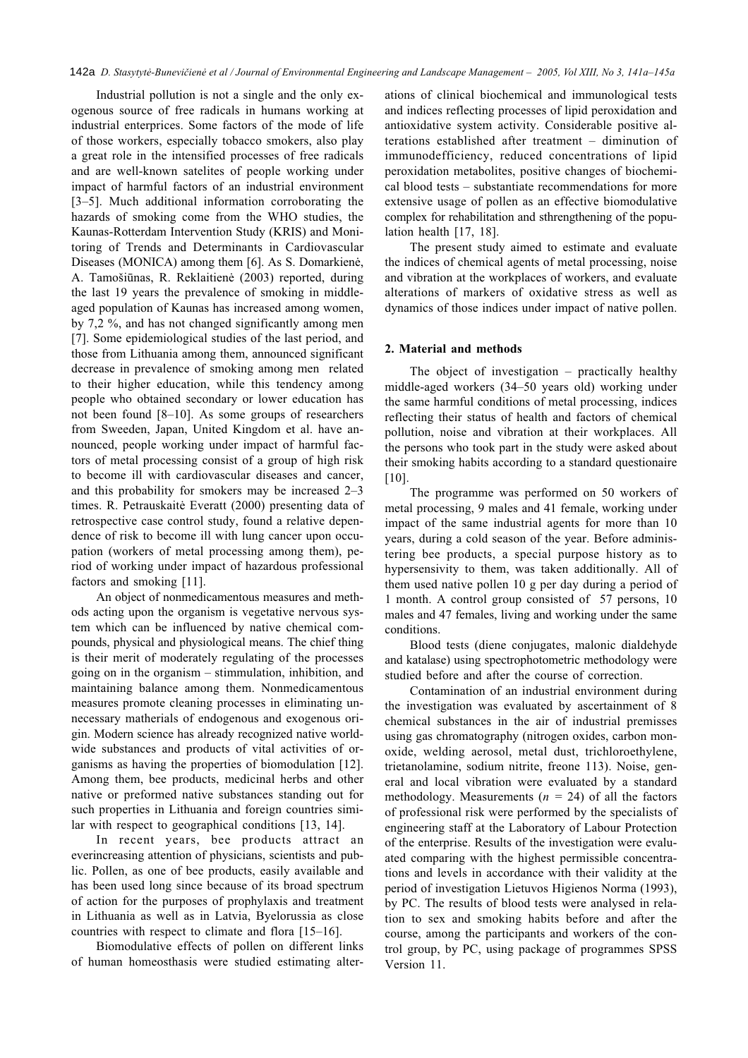Industrial pollution is not a single and the only exogenous source of free radicals in humans working at industrial enterprices. Some factors of the mode of life of those workers, especially tobacco smokers, also play a great role in the intensified processes of free radicals and are well-known satelites of people working under impact of harmful factors of an industrial environment [3-5]. Much additional information corroborating the hazards of smoking come from the WHO studies, the Kaunas-Rotterdam Intervention Study (KRIS) and Monitoring of Trends and Determinants in Cardiovascular Diseases (MONICA) among them [6]. As S. Domarkienė, A. Tamošiūnas, R. Reklaitienė (2003) reported, during the last 19 years the prevalence of smoking in middleaged population of Kaunas has increased among women, by 7,2 %, and has not changed significantly among men [7]. Some epidemiological studies of the last period, and those from Lithuania among them, announced significant decrease in prevalence of smoking among men related to their higher education, while this tendency among people who obtained secondary or lower education has not been found  $[8-10]$ . As some groups of researchers from Sweeden, Japan, United Kingdom et al. have announced, people working under impact of harmful factors of metal processing consist of a group of high risk to become ill with cardiovascular diseases and cancer, and this probability for smokers may be increased  $2-3$ times. R. Petrauskaitė Everatt (2000) presenting data of retrospective case control study, found a relative dependence of risk to become ill with lung cancer upon occupation (workers of metal processing among them), period of working under impact of hazardous professional factors and smoking [11].

An object of nonmedicamentous measures and methods acting upon the organism is vegetative nervous system which can be influenced by native chemical compounds, physical and physiological means. The chief thing is their merit of moderately regulating of the processes going on in the organism  $-$  stimmulation, inhibition, and maintaining balance among them. Nonmedicamentous measures promote cleaning processes in eliminating unnecessary matherials of endogenous and exogenous origin. Modern science has already recognized native worldwide substances and products of vital activities of organisms as having the properties of biomodulation [12]. Among them, bee products, medicinal herbs and other native or preformed native substances standing out for such properties in Lithuania and foreign countries similar with respect to geographical conditions [13, 14].

In recent years, bee products attract an everincreasing attention of physicians, scientists and public. Pollen, as one of bee products, easily available and has been used long since because of its broad spectrum of action for the purposes of prophylaxis and treatment in Lithuania as well as in Latvia, Byelorussia as close countries with respect to climate and flora  $[15-16]$ .

Biomodulative effects of pollen on different links of human homeosthasis were studied estimating alterations of clinical biochemical and immunological tests and indices reflecting processes of lipid peroxidation and antioxidative system activity. Considerable positive alterations established after treatment - diminution of immunodefficiency, reduced concentrations of lipid peroxidation metabolites, positive changes of biochemical blood tests - substantiate recommendations for more extensive usage of pollen as an effective biomodulative complex for rehabilitation and sthrengthening of the population health  $[17, 18]$ .

The present study aimed to estimate and evaluate the indices of chemical agents of metal processing, noise and vibration at the workplaces of workers, and evaluate alterations of markers of oxidative stress as well as dynamics of those indices under impact of native pollen.

## 2. Material and methods

The object of investigation  $-$  practically healthy middle-aged workers (34–50 years old) working under the same harmful conditions of metal processing, indices reflecting their status of health and factors of chemical pollution, noise and vibration at their workplaces. All the persons who took part in the study were asked about their smoking habits according to a standard questionaire  $\lceil 10 \rceil$ .

The programme was performed on 50 workers of metal processing, 9 males and 41 female, working under impact of the same industrial agents for more than 10 years, during a cold season of the year. Before administering bee products, a special purpose history as to hypersensivity to them, was taken additionally. All of them used native pollen 10 g per day during a period of 1 month. A control group consisted of 57 persons, 10 males and 47 females, living and working under the same conditions.

Blood tests (diene conjugates, malonic dialdehyde and katalase) using spectrophotometric methodology were studied before and after the course of correction.

Contamination of an industrial environment during the investigation was evaluated by ascertainment of 8 chemical substances in the air of industrial premisses using gas chromatography (nitrogen oxides, carbon monoxide, welding aerosol, metal dust, trichloroethylene, trietanolamine, sodium nitrite, freone 113). Noise, general and local vibration were evaluated by a standard methodology. Measurements ( $n = 24$ ) of all the factors of professional risk were performed by the specialists of engineering staff at the Laboratory of Labour Protection of the enterprise. Results of the investigation were evaluated comparing with the highest permissible concentrations and levels in accordance with their validity at the period of investigation Lietuvos Higienos Norma (1993). by PC. The results of blood tests were analysed in relation to sex and smoking habits before and after the course, among the participants and workers of the control group, by PC, using package of programmes SPSS Version 11.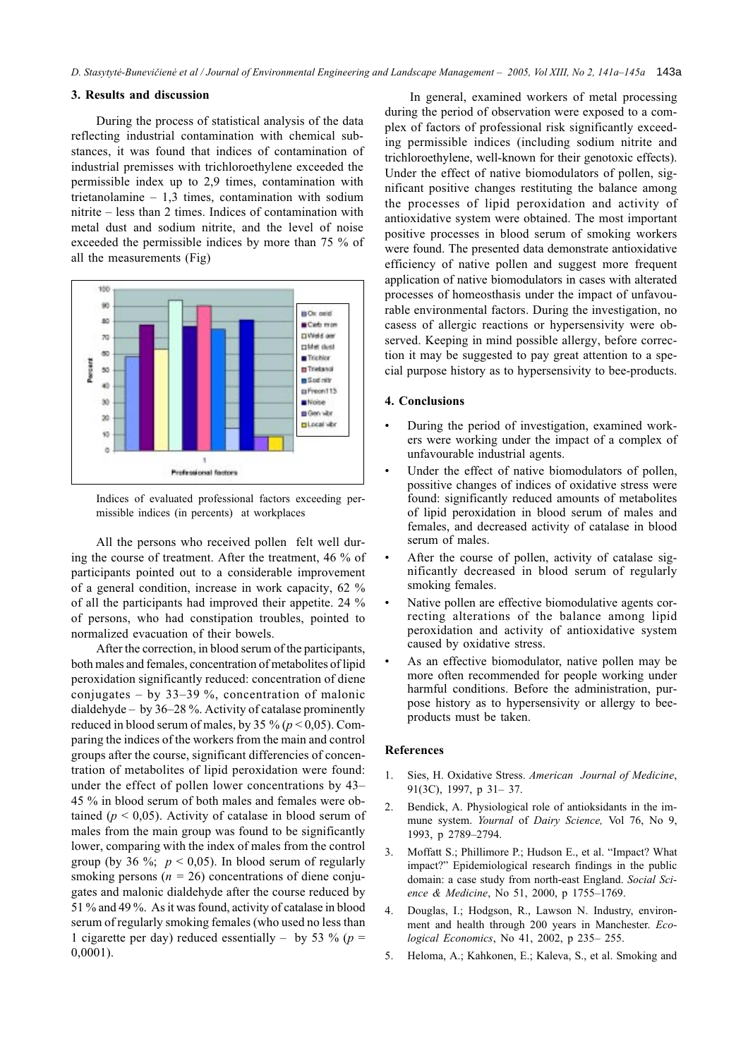### 3. Results and discussion

During the process of statistical analysis of the data reflecting industrial contamination with chemical substances, it was found that indices of contamination of industrial premisses with trichloroethylene exceeded the permissible index up to 2,9 times, contamination with trietanolamine  $-1,3$  times, contamination with sodium nitrite – less than 2 times. Indices of contamination with metal dust and sodium nitrite, and the level of noise exceeded the permissible indices by more than 75 % of all the measurements (Fig)



Indices of evaluated professional factors exceeding permissible indices (in percents) at workplaces

All the persons who received pollen felt well during the course of treatment. After the treatment, 46 % of participants pointed out to a considerable improvement of a general condition, increase in work capacity, 62 % of all the participants had improved their appetite. 24 % of persons, who had constipation troubles, pointed to normalized evacuation of their bowels.

After the correction, in blood serum of the participants, both males and females, concentration of metabolites of lipid peroxidation significantly reduced: concentration of diene conjugates – by  $33-39$  %, concentration of malonic dialdehyde – by  $36-28\%$ . Activity of catalase prominently reduced in blood serum of males, by 35 % ( $p < 0.05$ ). Comparing the indices of the workers from the main and control groups after the course, significant differencies of concentration of metabolites of lipid peroxidation were found: under the effect of pollen lower concentrations by 43– 45 % in blood serum of both males and females were obtained ( $p < 0.05$ ). Activity of catalase in blood serum of males from the main group was found to be significantly lower, comparing with the index of males from the control group (by 36 %;  $p < 0.05$ ). In blood serum of regularly smoking persons ( $n = 26$ ) concentrations of diene conjugates and malonic dialdehyde after the course reduced by 51 % and 49 %. As it was found, activity of catalase in blood serum of regularly smoking females (who used no less than 1 cigarette per day) reduced essentially – by 53 % ( $p =$  $0,0001$ ).

In general, examined workers of metal processing during the period of observation were exposed to a complex of factors of professional risk significantly exceeding permissible indices (including sodium nitrite and trichloroethylene, well-known for their genotoxic effects). Under the effect of native biomodulators of pollen, significant positive changes restituting the balance among the processes of lipid peroxidation and activity of antioxidative system were obtained. The most important positive processes in blood serum of smoking workers were found. The presented data demonstrate antioxidative efficiency of native pollen and suggest more frequent application of native biomodulators in cases with alterated processes of homeosthasis under the impact of unfavourable environmental factors. During the investigation, no casess of allergic reactions or hypersensivity were observed. Keeping in mind possible allergy, before correction it may be suggested to pay great attention to a special purpose history as to hypersensivity to bee-products.

#### 4. Conclusions

- During the period of investigation, examined workers were working under the impact of a complex of unfavourable industrial agents.
- Under the effect of native biomodulators of pollen, possitive changes of indices of oxidative stress were found: significantly reduced amounts of metabolites of lipid peroxidation in blood serum of males and females, and decreased activity of catalase in blood serum of males.
- After the course of pollen, activity of catalase significantly decreased in blood serum of regularly smoking females.
- Native pollen are effective biomodulative agents correcting alterations of the balance among lipid peroxidation and activity of antioxidative system caused by oxidative stress.
- As an effective biomodulator, native pollen may be more often recommended for people working under harmful conditions. Before the administration, purpose history as to hypersensivity or allergy to beeproducts must be taken.

## **References**

- Sies, H. Oxidative Stress. American Journal of Medicine,  $\mathbf{1}$ . 91(3C), 1997, p  $31 - 37$ .
- Bendick, A. Physiological role of antioksidants in the im- $2<sup>1</sup>$ mune system. Yournal of Dairy Science, Vol 76, No 9, 1993, p 2789-2794.
- Moffatt S.; Phillimore P.; Hudson E., et al. "Impact? What  $\mathcal{Z}$ impact?" Epidemiological research findings in the public domain: a case study from north-east England. Social Science & Medicine, No 51, 2000, p 1755-1769.
- 4. Douglas, I.; Hodgson, R., Lawson N. Industry, environment and health through 200 years in Manchester. Ecological Economics, No 41, 2002, p 235-255.
- Heloma, A.; Kahkonen, E.; Kaleva, S., et al. Smoking and  $5<sub>1</sub>$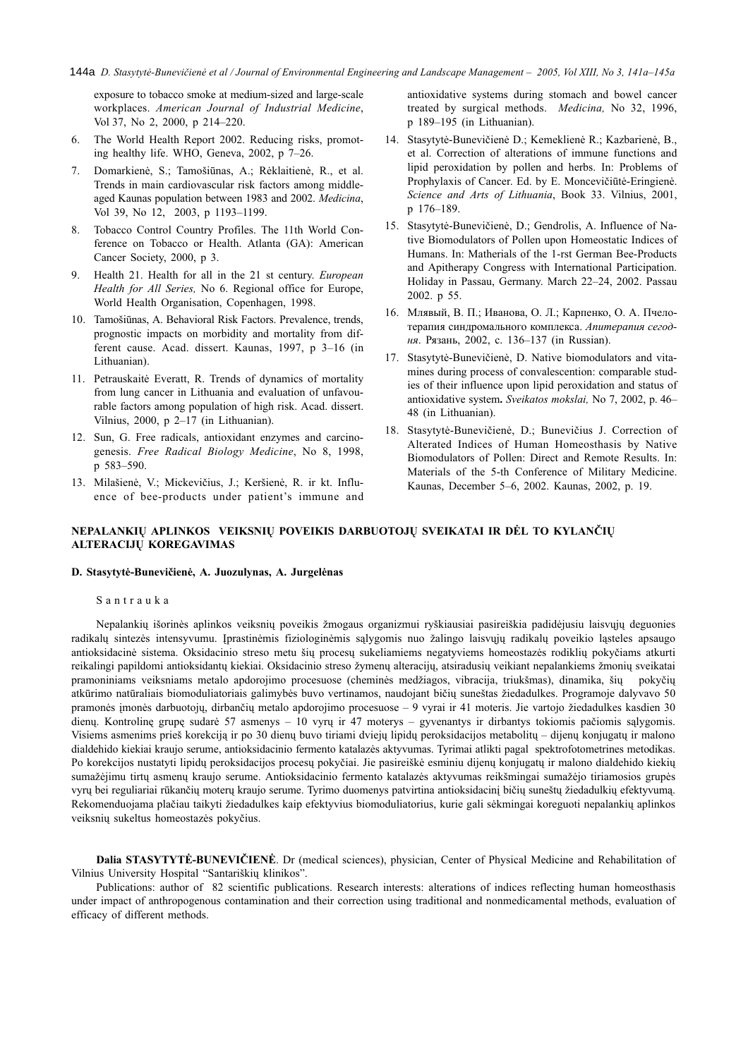exposure to tobacco smoke at medium-sized and large-scale workplaces. American Journal of Industrial Medicine, Vol 37, No 2, 2000, p 214-220.

- 6. The World Health Report 2002. Reducing risks, promoting healthy life. WHO, Geneva, 2002, p 7-26.
- 7. Domarkienė, S.; Tamošiūnas, A.; Rėklaitienė, R., et al. Trends in main cardiovascular risk factors among middleaged Kaunas population between 1983 and 2002. Medicina, Vol 39, No 12, 2003, p 1193-1199.
- 8. Tobacco Control Country Profiles. The 11th World Conference on Tobacco or Health. Atlanta (GA): American Cancer Society, 2000, p 3.
- Health 21. Health for all in the 21 st century. European Health for All Series, No 6. Regional office for Europe, World Health Organisation, Copenhagen, 1998.
- 10. Tamošiūnas, A. Behavioral Risk Factors. Prevalence, trends, prognostic impacts on morbidity and mortality from different cause. Acad. dissert. Kaunas, 1997, p 3-16 (in Lithuanian).
- 11. Petrauskaitė Everatt, R. Trends of dynamics of mortality from lung cancer in Lithuania and evaluation of unfavourable factors among population of high risk. Acad. dissert. Vilnius, 2000, p 2-17 (in Lithuanian).
- 12. Sun, G. Free radicals, antioxidant enzymes and carcinogenesis. Free Radical Biology Medicine, No 8, 1998, p 583-590.
- 13. Milašienė, V.; Mickevičius, J.; Keršienė, R. ir kt. Influence of bee-products under patient's immune and

antioxidative systems during stomach and bowel cancer treated by surgical methods. Medicina, No 32, 1996, p 189-195 (in Lithuanian).

- 14. Stasytytė-Bunevičienė D.; Kemeklienė R.; Kazbarienė, B., et al. Correction of alterations of immune functions and lipid peroxidation by pollen and herbs. In: Problems of Prophylaxis of Cancer. Ed. by E. Moncevičiūtė-Eringienė. Science and Arts of Lithuania, Book 33. Vilnius, 2001, p 176-189.
- 15. Stasytytė-Bunevičienė, D.; Gendrolis, A. Influence of Native Biomodulators of Pollen upon Homeostatic Indices of Humans. In: Matherials of the 1-rst German Bee-Products and Apitherapy Congress with International Participation. Holiday in Passau, Germany. March 22-24, 2002. Passau 2002. p 55.
- 16. Млявый, В. П.; Иванова, О. Л.; Карпенко, О. А. Пчелотерапия синдромального комплекса. Апитерапия сегодня. Рязань, 2002, с. 136-137 (in Russian).
- 17. Stasytytė-Bunevičienė, D. Native biomodulators and vitamines during process of convalescention: comparable studies of their influence upon lipid peroxidation and status of antioxidative system. Sveikatos mokslai, No 7, 2002, p. 46– 48 (in Lithuanian).
- 18. Stasytytė-Bunevičienė, D.; Bunevičius J. Correction of Alterated Indices of Human Homeosthasis by Native Biomodulators of Pollen: Direct and Remote Results. In: Materials of the 5-th Conference of Military Medicine. Kaunas, December 5-6, 2002. Kaunas, 2002, p. 19.

# NEPALANKIU APLINKOS VEIKSNIU POVEIKIS DARBUOTOJU SVEIKATAI IR DĖL TO KYLANČIU **ALTERACIJŲ KOREGAVIMAS**

### D. Stasytytė-Bunevičienė, A. Juozulynas, A. Jurgelėnas

### Santrauka

Nepalankių išorinės aplinkos veiksnių poveikis žmogaus organizmui ryškiausiai pasireiškia padidėjusiu laisvųjų deguonies radikalų sintezės intensyvumu. Įprastinėmis fiziologinėmis sąlygomis nuo žalingo laisvųjų radikalų poveikio ląsteles apsaugo antioksidacinė sistema. Oksidacinio streso metu šių procesų sukeliamiems negatyviems homeostazės rodiklių pokyčiams atkurti reikalingi papildomi antioksidantų kiekiai. Oksidacinio streso žymenų alteracijų, atsiradusių veikiant nepalankiems žmonių sveikatai pramoniniams veiksniams metalo apdorojimo procesuose (cheminės medžiagos, vibracija, triukšmas), dinamika, šių pokyčių atkūrimo natūraliais biomoduliatoriais galimybės buvo vertinamos, naudojant bičių suneštas žiedadulkes. Programoje dalyvavo 50 pramonės įmonės darbuotojų, dirbančių metalo apdorojimo procesuose - 9 vyrai ir 41 moteris. Jie vartojo žiedadulkes kasdien 30 dienų. Kontrolinę grupę sudarė 57 asmenys – 10 vyrų ir 47 moterys – gyvenantys ir dirbantys tokiomis pačiomis sąlygomis. Visiems asmenims prieš korekciją ir po 30 dienų buvo tiriami dviejų lipidų peroksidacijos metabolitų – dijenų konjugatų ir malono dialdehido kiekiai kraujo serume, antioksidacinio fermento katalazės aktyvumas. Tyrimai atlikti pagal spektrofotometrines metodikas. Po korekcijos nustatyti lipidų peroksidacijos procesų pokyčiai. Jie pasireiškė esminiu dijenų konjugatų ir malono dialdehido kiekių sumažėjimu tirtų asmenų kraujo serume. Antioksidacinio fermento katalazės aktyvumas reikšmingai sumažėjo tiriamosios grupės vyrų bei reguliariai rūkančių moterų kraujo serume. Tyrimo duomenys patvirtina antioksidacinį bičių suneštų žiedadulkių efektyvumą. Rekomenduojama plačiau taikyti žiedadulkes kaip efektyvius biomoduliatorius, kurie gali sėkmingai koreguoti nepalankių aplinkos veiksnių sukeltus homeostazės pokyčius.

Dalia STASYTYTĖ-BUNEVIČIENĖ. Dr (medical sciences), physician, Center of Physical Medicine and Rehabilitation of Vilnius University Hospital "Santariškių klinikos".

Publications: author of 82 scientific publications. Research interests: alterations of indices reflecting human homeosthasis under impact of anthropogenous contamination and their correction using traditional and nonmedicamental methods, evaluation of efficacy of different methods.